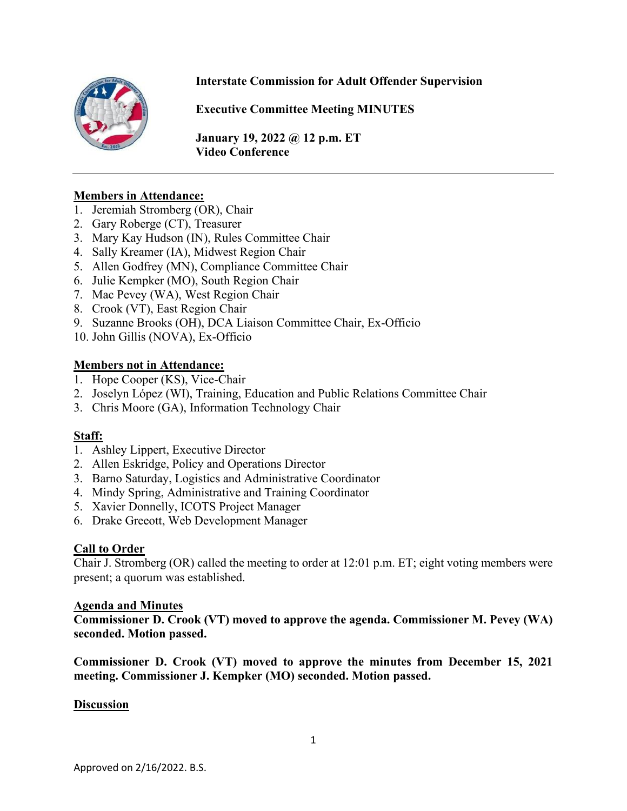

# **Interstate Commission for Adult Offender Supervision**

**Executive Committee Meeting MINUTES**

**January 19, 2022 @ 12 p.m. ET Video Conference** 

### **Members in Attendance:**

- 1. Jeremiah Stromberg (OR), Chair
- 2. Gary Roberge (CT), Treasurer
- 3. Mary Kay Hudson (IN), Rules Committee Chair
- 4. Sally Kreamer (IA), Midwest Region Chair
- 5. Allen Godfrey (MN), Compliance Committee Chair
- 6. Julie Kempker (MO), South Region Chair
- 7. Mac Pevey (WA), West Region Chair
- 8. Crook (VT), East Region Chair
- 9. Suzanne Brooks (OH), DCA Liaison Committee Chair, Ex-Officio
- 10. John Gillis (NOVA), Ex-Officio

### **Members not in Attendance:**

- 1. Hope Cooper (KS), Vice-Chair
- 2. Joselyn López (WI), Training, Education and Public Relations Committee Chair
- 3. Chris Moore (GA), Information Technology Chair

## **Staff:**

- 1. Ashley Lippert, Executive Director
- 2. Allen Eskridge, Policy and Operations Director
- 3. Barno Saturday, Logistics and Administrative Coordinator
- 4. Mindy Spring, Administrative and Training Coordinator
- 5. Xavier Donnelly, ICOTS Project Manager
- 6. Drake Greeott, Web Development Manager

#### **Call to Order**

Chair J. Stromberg (OR) called the meeting to order at 12:01 p.m. ET; eight voting members were present; a quorum was established.

#### **Agenda and Minutes**

**Commissioner D. Crook (VT) moved to approve the agenda. Commissioner M. Pevey (WA) seconded. Motion passed.** 

**Commissioner D. Crook (VT) moved to approve the minutes from December 15, 2021 meeting. Commissioner J. Kempker (MO) seconded. Motion passed.** 

#### **Discussion**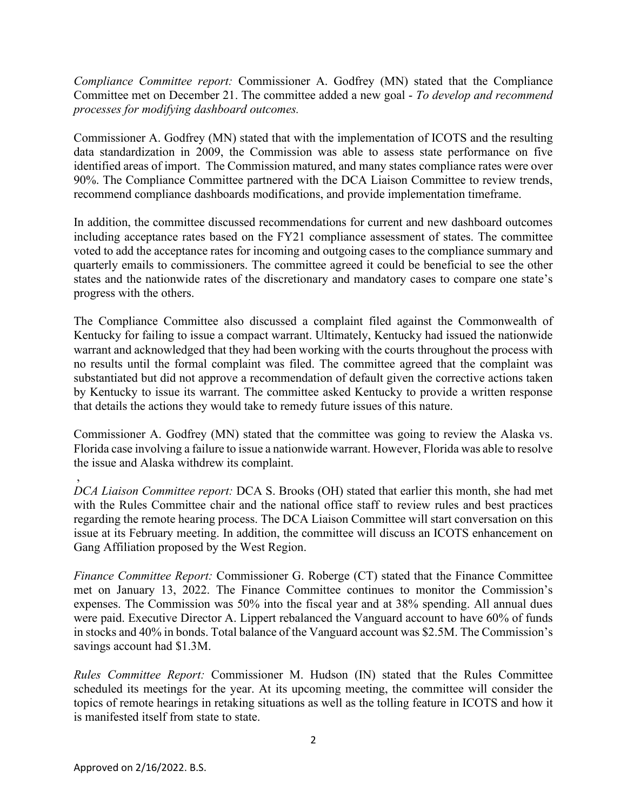*Compliance Committee report:* Commissioner A. Godfrey (MN) stated that the Compliance Committee met on December 21. The committee added a new goal - *To develop and recommend processes for modifying dashboard outcomes.*

Commissioner A. Godfrey (MN) stated that with the implementation of ICOTS and the resulting data standardization in 2009, the Commission was able to assess state performance on five identified areas of import. The Commission matured, and many states compliance rates were over 90%. The Compliance Committee partnered with the DCA Liaison Committee to review trends, recommend compliance dashboards modifications, and provide implementation timeframe.

In addition, the committee discussed recommendations for current and new dashboard outcomes including acceptance rates based on the FY21 compliance assessment of states. The committee voted to add the acceptance rates for incoming and outgoing cases to the compliance summary and quarterly emails to commissioners. The committee agreed it could be beneficial to see the other states and the nationwide rates of the discretionary and mandatory cases to compare one state's progress with the others.

The Compliance Committee also discussed a complaint filed against the Commonwealth of Kentucky for failing to issue a compact warrant. Ultimately, Kentucky had issued the nationwide warrant and acknowledged that they had been working with the courts throughout the process with no results until the formal complaint was filed. The committee agreed that the complaint was substantiated but did not approve a recommendation of default given the corrective actions taken by Kentucky to issue its warrant. The committee asked Kentucky to provide a written response that details the actions they would take to remedy future issues of this nature.

Commissioner A. Godfrey (MN) stated that the committee was going to review the Alaska vs. Florida case involving a failure to issue a nationwide warrant. However, Florida was able to resolve the issue and Alaska withdrew its complaint.

, *DCA Liaison Committee report:* DCA S. Brooks (OH) stated that earlier this month, she had met with the Rules Committee chair and the national office staff to review rules and best practices regarding the remote hearing process. The DCA Liaison Committee will start conversation on this issue at its February meeting. In addition, the committee will discuss an ICOTS enhancement on Gang Affiliation proposed by the West Region.

*Finance Committee Report:* Commissioner G. Roberge (CT) stated that the Finance Committee met on January 13, 2022. The Finance Committee continues to monitor the Commission's expenses. The Commission was 50% into the fiscal year and at 38% spending. All annual dues were paid. Executive Director A. Lippert rebalanced the Vanguard account to have 60% of funds in stocks and 40% in bonds. Total balance of the Vanguard account was \$2.5M. The Commission's savings account had \$1.3M.

*Rules Committee Report:* Commissioner M. Hudson (IN) stated that the Rules Committee scheduled its meetings for the year. At its upcoming meeting, the committee will consider the topics of remote hearings in retaking situations as well as the tolling feature in ICOTS and how it is manifested itself from state to state.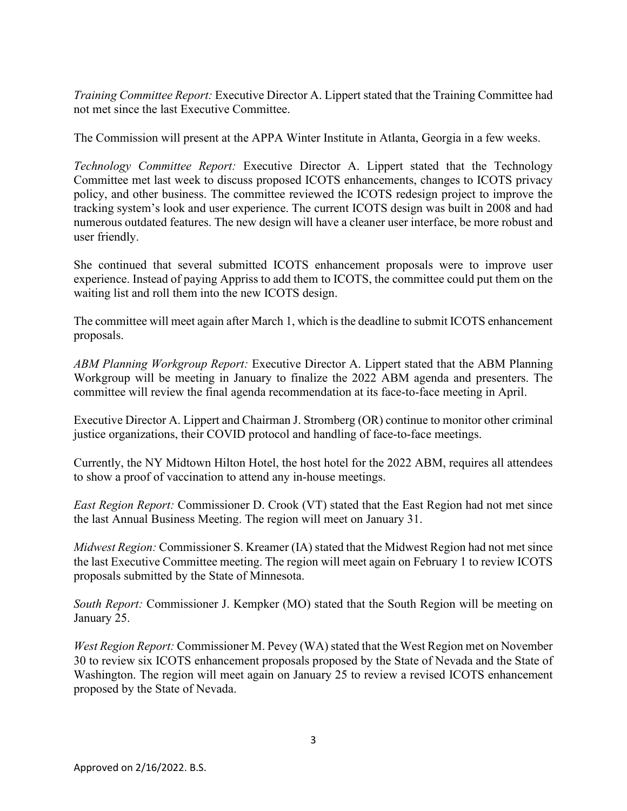*Training Committee Report:* Executive Director A. Lippert stated that the Training Committee had not met since the last Executive Committee.

The Commission will present at the APPA Winter Institute in Atlanta, Georgia in a few weeks.

*Technology Committee Report:* Executive Director A. Lippert stated that the Technology Committee met last week to discuss proposed ICOTS enhancements, changes to ICOTS privacy policy, and other business. The committee reviewed the ICOTS redesign project to improve the tracking system's look and user experience. The current ICOTS design was built in 2008 and had numerous outdated features. The new design will have a cleaner user interface, be more robust and user friendly.

She continued that several submitted ICOTS enhancement proposals were to improve user experience. Instead of paying Appriss to add them to ICOTS, the committee could put them on the waiting list and roll them into the new ICOTS design.

The committee will meet again after March 1, which is the deadline to submit ICOTS enhancement proposals.

*ABM Planning Workgroup Report:* Executive Director A. Lippert stated that the ABM Planning Workgroup will be meeting in January to finalize the 2022 ABM agenda and presenters. The committee will review the final agenda recommendation at its face-to-face meeting in April.

Executive Director A. Lippert and Chairman J. Stromberg (OR) continue to monitor other criminal justice organizations, their COVID protocol and handling of face-to-face meetings.

Currently, the NY Midtown Hilton Hotel, the host hotel for the 2022 ABM, requires all attendees to show a proof of vaccination to attend any in-house meetings.

*East Region Report:* Commissioner D. Crook (VT) stated that the East Region had not met since the last Annual Business Meeting. The region will meet on January 31.

*Midwest Region:* Commissioner S. Kreamer (IA) stated that the Midwest Region had not met since the last Executive Committee meeting. The region will meet again on February 1 to review ICOTS proposals submitted by the State of Minnesota.

*South Report:* Commissioner J. Kempker (MO) stated that the South Region will be meeting on January 25.

*West Region Report:* Commissioner M. Pevey (WA) stated that the West Region met on November 30 to review six ICOTS enhancement proposals proposed by the State of Nevada and the State of Washington. The region will meet again on January 25 to review a revised ICOTS enhancement proposed by the State of Nevada.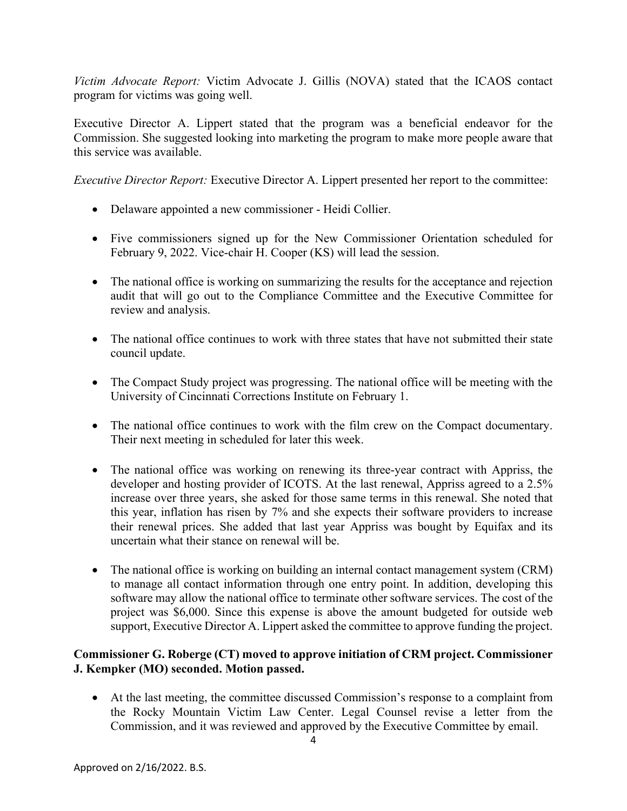*Victim Advocate Report:* Victim Advocate J. Gillis (NOVA) stated that the ICAOS contact program for victims was going well.

Executive Director A. Lippert stated that the program was a beneficial endeavor for the Commission. She suggested looking into marketing the program to make more people aware that this service was available.

*Executive Director Report:* Executive Director A. Lippert presented her report to the committee:

- Delaware appointed a new commissioner Heidi Collier.
- Five commissioners signed up for the New Commissioner Orientation scheduled for February 9, 2022. Vice-chair H. Cooper (KS) will lead the session.
- The national office is working on summarizing the results for the acceptance and rejection audit that will go out to the Compliance Committee and the Executive Committee for review and analysis.
- The national office continues to work with three states that have not submitted their state council update.
- The Compact Study project was progressing. The national office will be meeting with the University of Cincinnati Corrections Institute on February 1.
- The national office continues to work with the film crew on the Compact documentary. Their next meeting in scheduled for later this week.
- The national office was working on renewing its three-year contract with Appriss, the developer and hosting provider of ICOTS. At the last renewal, Appriss agreed to a 2.5% increase over three years, she asked for those same terms in this renewal. She noted that this year, inflation has risen by 7% and she expects their software providers to increase their renewal prices. She added that last year Appriss was bought by Equifax and its uncertain what their stance on renewal will be.
- The national office is working on building an internal contact management system (CRM) to manage all contact information through one entry point. In addition, developing this software may allow the national office to terminate other software services. The cost of the project was \$6,000. Since this expense is above the amount budgeted for outside web support, Executive Director A. Lippert asked the committee to approve funding the project.

# **Commissioner G. Roberge (CT) moved to approve initiation of CRM project. Commissioner J. Kempker (MO) seconded. Motion passed.**

• At the last meeting, the committee discussed Commission's response to a complaint from the Rocky Mountain Victim Law Center. Legal Counsel revise a letter from the Commission, and it was reviewed and approved by the Executive Committee by email.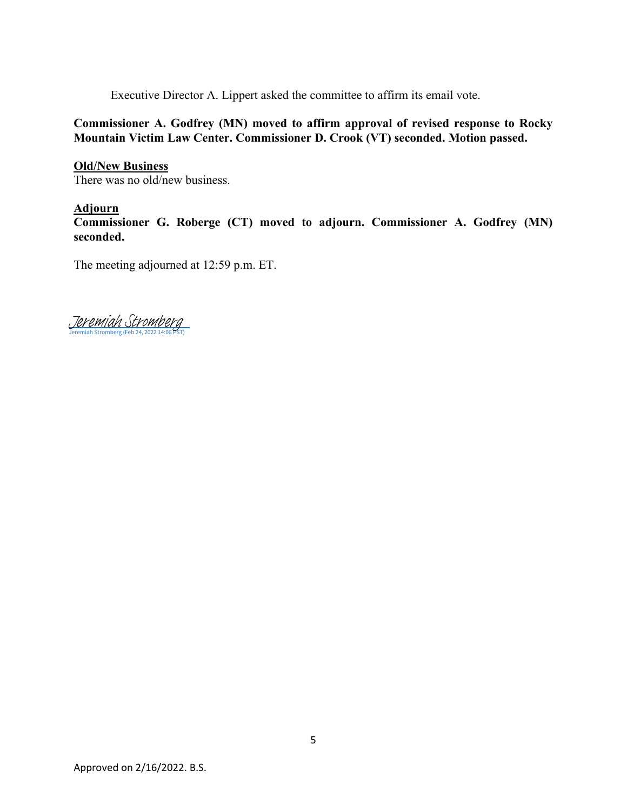Executive Director A. Lippert asked the committee to affirm its email vote.

**Commissioner A. Godfrey (MN) moved to affirm approval of revised response to Rocky Mountain Victim Law Center. Commissioner D. Crook (VT) seconded. Motion passed.** 

#### **Old/New Business**

There was no old/new business.

# **Adjourn**

**Commissioner G. Roberge (CT) moved to adjourn. Commissioner A. Godfrey (MN) seconded.** 

The meeting adjourned at 12:59 p.m. ET.

[Jeremiah Stromberg](https://eu1.documents.adobe.com/verifier?tx=CBJCHBCAABAAGMMokEIpFzXEV1c67R2hCPf5ffAVTi6k)<br>Jeremiah Stromberg (Feb 24, 2022 14:06 PST)